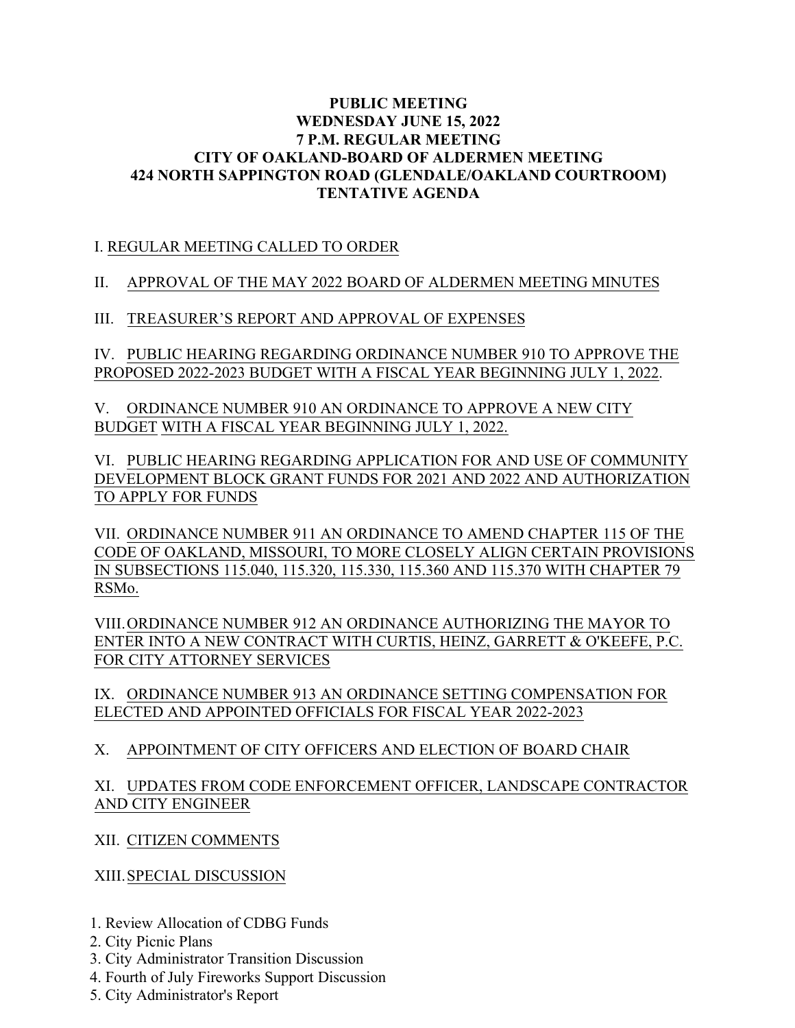### **PUBLIC MEETING WEDNESDAY JUNE 15, 2022 7 P.M. REGULAR MEETING CITY OF OAKLAND-BOARD OF ALDERMEN MEETING 424 NORTH SAPPINGTON ROAD (GLENDALE/OAKLAND COURTROOM) TENTATIVE AGENDA**

# I. REGULAR MEETING CALLED TO ORDER

## II. APPROVAL OF THE MAY 2022 BOARD OF ALDERMEN MEETING MINUTES

## III. TREASURER'S REPORT AND APPROVAL OF EXPENSES

IV. PUBLIC HEARING REGARDING ORDINANCE NUMBER 910 TO APPROVE THE PROPOSED 2022-2023 BUDGET WITH A FISCAL YEAR BEGINNING JULY 1, 2022.

V. ORDINANCE NUMBER 910 AN ORDINANCE TO APPROVE A NEW CITY BUDGET WITH A FISCAL YEAR BEGINNING JULY 1, 2022.

VI. PUBLIC HEARING REGARDING APPLICATION FOR AND USE OF COMMUNITY DEVELOPMENT BLOCK GRANT FUNDS FOR 2021 AND 2022 AND AUTHORIZATION TO APPLY FOR FUNDS

VII. ORDINANCE NUMBER 911 AN ORDINANCE TO AMEND CHAPTER 115 OF THE CODE OF OAKLAND, MISSOURI, TO MORE CLOSELY ALIGN CERTAIN PROVISIONS IN SUBSECTIONS 115.040, 115.320, 115.330, 115.360 AND 115.370 WITH CHAPTER 79 RSMo.

VIII.ORDINANCE NUMBER 912 AN ORDINANCE AUTHORIZING THE MAYOR TO ENTER INTO A NEW CONTRACT WITH CURTIS, HEINZ, GARRETT & O'KEEFE, P.C. FOR CITY ATTORNEY SERVICES

IX. ORDINANCE NUMBER 913 AN ORDINANCE SETTING COMPENSATION FOR ELECTED AND APPOINTED OFFICIALS FOR FISCAL YEAR 2022-2023

# X. APPOINTMENT OF CITY OFFICERS AND ELECTION OF BOARD CHAIR

### XI. UPDATES FROM CODE ENFORCEMENT OFFICER, LANDSCAPE CONTRACTOR AND CITY ENGINEER

XII. CITIZEN COMMENTS

XIII.SPECIAL DISCUSSION

- 1. Review Allocation of CDBG Funds
- 2. City Picnic Plans
- 3. City Administrator Transition Discussion
- 4. Fourth of July Fireworks Support Discussion
- 5. City Administrator's Report